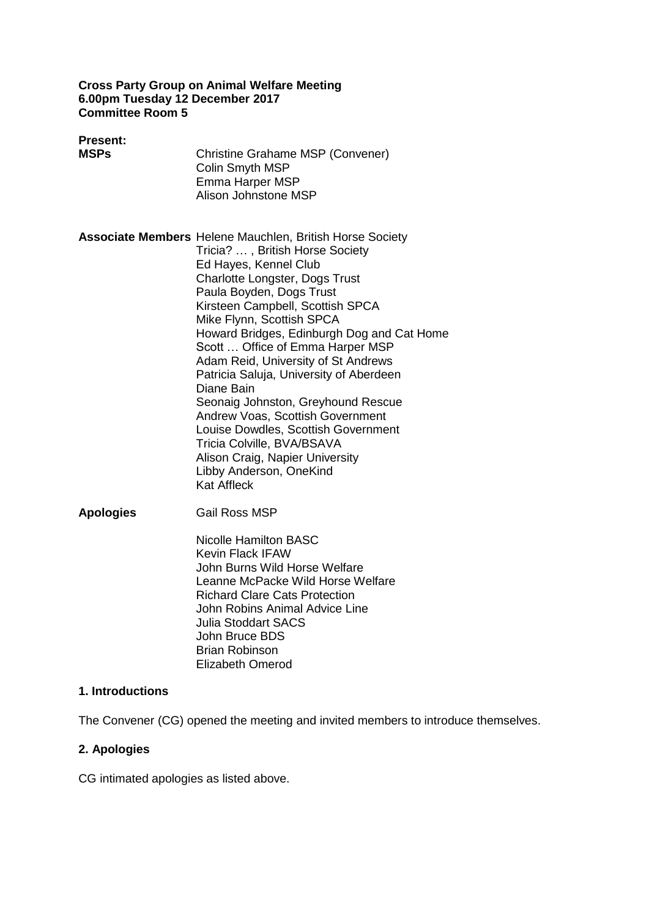#### **Cross Party Group on Animal Welfare Meeting 6.00pm Tuesday 12 December 2017 Committee Room 5**

| <b>Present:</b><br><b>MSPs</b> | Christine Grahame MSP (Convener)<br>Colin Smyth MSP<br>Emma Harper MSP<br>Alison Johnstone MSP                                                                                                                                                                                                                                                                                                                                                                                                                                                                                                                                                                                         |
|--------------------------------|----------------------------------------------------------------------------------------------------------------------------------------------------------------------------------------------------------------------------------------------------------------------------------------------------------------------------------------------------------------------------------------------------------------------------------------------------------------------------------------------------------------------------------------------------------------------------------------------------------------------------------------------------------------------------------------|
|                                | <b>Associate Members</b> Helene Mauchlen, British Horse Society<br>Tricia? , British Horse Society<br>Ed Hayes, Kennel Club<br><b>Charlotte Longster, Dogs Trust</b><br>Paula Boyden, Dogs Trust<br>Kirsteen Campbell, Scottish SPCA<br>Mike Flynn, Scottish SPCA<br>Howard Bridges, Edinburgh Dog and Cat Home<br>Scott  Office of Emma Harper MSP<br>Adam Reid, University of St Andrews<br>Patricia Saluja, University of Aberdeen<br>Diane Bain<br>Seonaig Johnston, Greyhound Rescue<br>Andrew Voas, Scottish Government<br>Louise Dowdles, Scottish Government<br>Tricia Colville, BVA/BSAVA<br>Alison Craig, Napier University<br>Libby Anderson, OneKind<br><b>Kat Affleck</b> |
| <b>Apologies</b>               | <b>Gail Ross MSP</b><br>Nicolle Hamilton BASC<br><b>Kevin Flack IFAW</b><br>John Burns Wild Horse Welfare<br>Leanne McPacke Wild Horse Welfare                                                                                                                                                                                                                                                                                                                                                                                                                                                                                                                                         |

Richard Clare Cats Protection John Robins Animal Advice Line Julia Stoddart SACS John Bruce BDS Brian Robinson Elizabeth Omerod

# **1. Introductions**

The Convener (CG) opened the meeting and invited members to introduce themselves.

# **2. Apologies**

CG intimated apologies as listed above.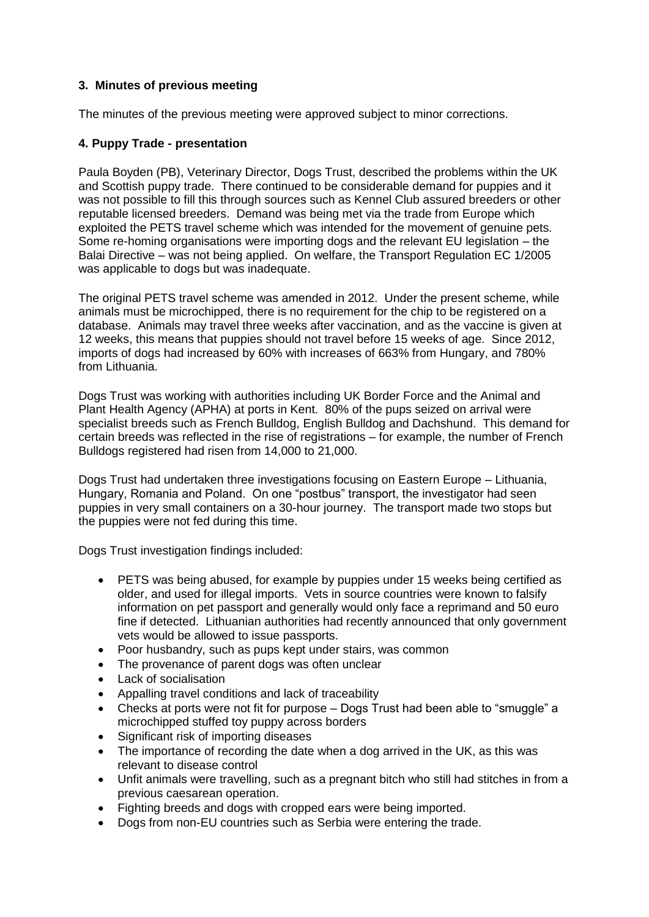## **3. Minutes of previous meeting**

The minutes of the previous meeting were approved subject to minor corrections.

### **4. Puppy Trade - presentation**

Paula Boyden (PB), Veterinary Director, Dogs Trust, described the problems within the UK and Scottish puppy trade. There continued to be considerable demand for puppies and it was not possible to fill this through sources such as Kennel Club assured breeders or other reputable licensed breeders. Demand was being met via the trade from Europe which exploited the PETS travel scheme which was intended for the movement of genuine pets. Some re-homing organisations were importing dogs and the relevant EU legislation – the Balai Directive – was not being applied. On welfare, the Transport Regulation EC 1/2005 was applicable to dogs but was inadequate.

The original PETS travel scheme was amended in 2012. Under the present scheme, while animals must be microchipped, there is no requirement for the chip to be registered on a database. Animals may travel three weeks after vaccination, and as the vaccine is given at 12 weeks, this means that puppies should not travel before 15 weeks of age. Since 2012, imports of dogs had increased by 60% with increases of 663% from Hungary, and 780% from Lithuania.

Dogs Trust was working with authorities including UK Border Force and the Animal and Plant Health Agency (APHA) at ports in Kent. 80% of the pups seized on arrival were specialist breeds such as French Bulldog, English Bulldog and Dachshund. This demand for certain breeds was reflected in the rise of registrations – for example, the number of French Bulldogs registered had risen from 14,000 to 21,000.

Dogs Trust had undertaken three investigations focusing on Eastern Europe – Lithuania, Hungary, Romania and Poland. On one "postbus" transport, the investigator had seen puppies in very small containers on a 30-hour journey. The transport made two stops but the puppies were not fed during this time.

Dogs Trust investigation findings included:

- PETS was being abused, for example by puppies under 15 weeks being certified as older, and used for illegal imports. Vets in source countries were known to falsify information on pet passport and generally would only face a reprimand and 50 euro fine if detected. Lithuanian authorities had recently announced that only government vets would be allowed to issue passports.
- Poor husbandry, such as pups kept under stairs, was common
- The provenance of parent dogs was often unclear
- Lack of socialisation
- Appalling travel conditions and lack of traceability
- Checks at ports were not fit for purpose Dogs Trust had been able to "smuggle" a microchipped stuffed toy puppy across borders
- Significant risk of importing diseases
- The importance of recording the date when a dog arrived in the UK, as this was relevant to disease control
- Unfit animals were travelling, such as a pregnant bitch who still had stitches in from a previous caesarean operation.
- Fighting breeds and dogs with cropped ears were being imported.
- Dogs from non-EU countries such as Serbia were entering the trade.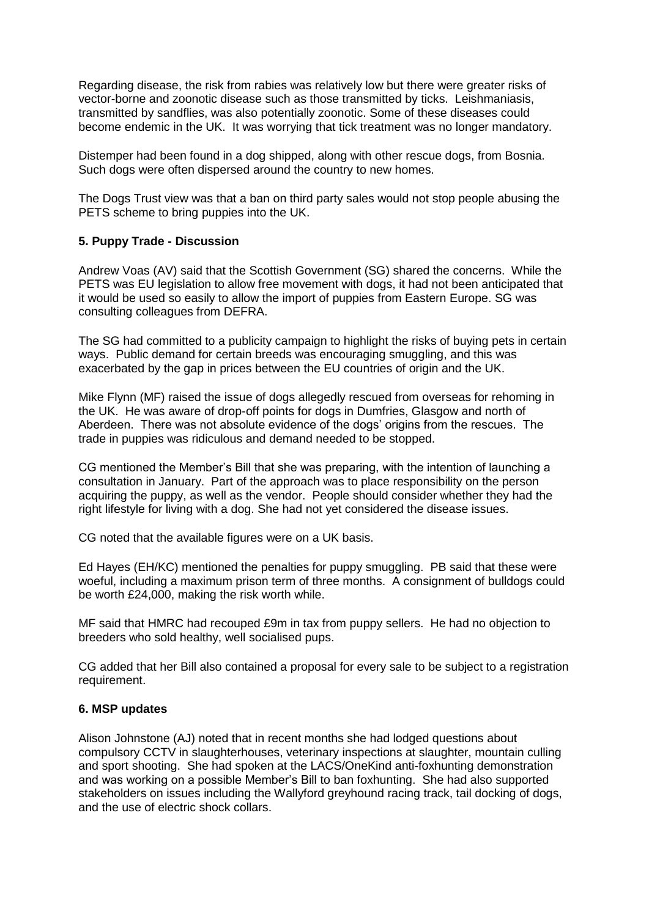Regarding disease, the risk from rabies was relatively low but there were greater risks of vector-borne and zoonotic disease such as those transmitted by ticks. Leishmaniasis, transmitted by sandflies, was also potentially zoonotic. Some of these diseases could become endemic in the UK. It was worrying that tick treatment was no longer mandatory.

Distemper had been found in a dog shipped, along with other rescue dogs, from Bosnia. Such dogs were often dispersed around the country to new homes.

The Dogs Trust view was that a ban on third party sales would not stop people abusing the PETS scheme to bring puppies into the UK.

### **5. Puppy Trade - Discussion**

Andrew Voas (AV) said that the Scottish Government (SG) shared the concerns. While the PETS was EU legislation to allow free movement with dogs, it had not been anticipated that it would be used so easily to allow the import of puppies from Eastern Europe. SG was consulting colleagues from DEFRA.

The SG had committed to a publicity campaign to highlight the risks of buying pets in certain ways. Public demand for certain breeds was encouraging smuggling, and this was exacerbated by the gap in prices between the EU countries of origin and the UK.

Mike Flynn (MF) raised the issue of dogs allegedly rescued from overseas for rehoming in the UK. He was aware of drop-off points for dogs in Dumfries, Glasgow and north of Aberdeen. There was not absolute evidence of the dogs' origins from the rescues. The trade in puppies was ridiculous and demand needed to be stopped.

CG mentioned the Member's Bill that she was preparing, with the intention of launching a consultation in January. Part of the approach was to place responsibility on the person acquiring the puppy, as well as the vendor. People should consider whether they had the right lifestyle for living with a dog. She had not yet considered the disease issues.

CG noted that the available figures were on a UK basis.

Ed Hayes (EH/KC) mentioned the penalties for puppy smuggling. PB said that these were woeful, including a maximum prison term of three months. A consignment of bulldogs could be worth £24,000, making the risk worth while.

MF said that HMRC had recouped £9m in tax from puppy sellers. He had no objection to breeders who sold healthy, well socialised pups.

CG added that her Bill also contained a proposal for every sale to be subject to a registration requirement.

#### **6. MSP updates**

Alison Johnstone (AJ) noted that in recent months she had lodged questions about compulsory CCTV in slaughterhouses, veterinary inspections at slaughter, mountain culling and sport shooting. She had spoken at the LACS/OneKind anti-foxhunting demonstration and was working on a possible Member's Bill to ban foxhunting. She had also supported stakeholders on issues including the Wallyford greyhound racing track, tail docking of dogs, and the use of electric shock collars.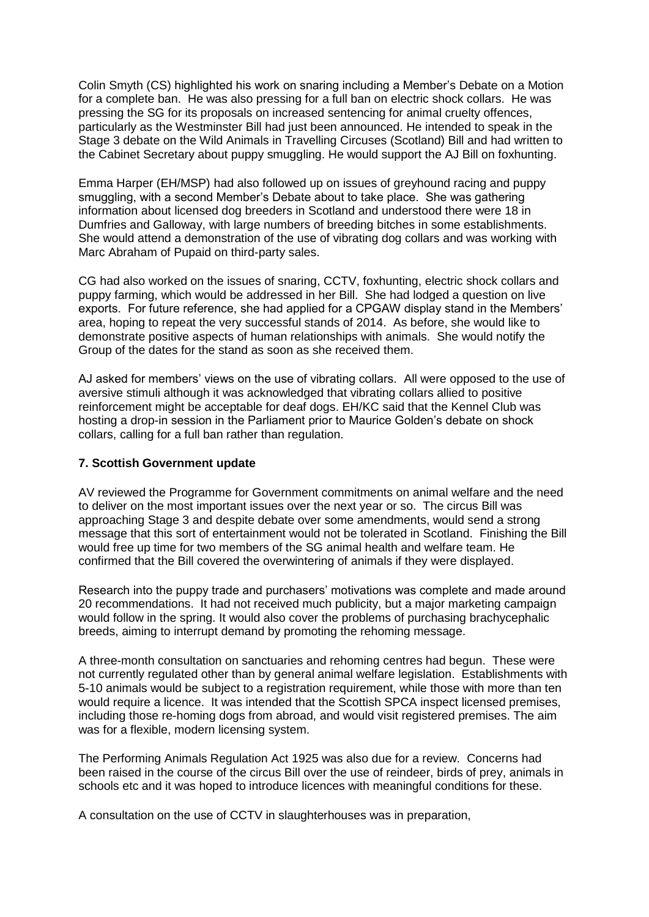Colin Smyth (CS) highlighted his work on snaring including a Member's Debate on a Motion for a complete ban. He was also pressing for a full ban on electric shock collars. He was pressing the SG for its proposals on increased sentencing for animal cruelty offences, particularly as the Westminster Bill had just been announced. He intended to speak in the Stage 3 debate on the Wild Animals in Travelling Circuses (Scotland) Bill and had written to the Cabinet Secretary about puppy smuggling. He would support the AJ Bill on foxhunting.

Emma Harper (EH/MSP) had also followed up on issues of greyhound racing and puppy smuggling, with a second Member's Debate about to take place. She was gathering information about licensed dog breeders in Scotland and understood there were 18 in Dumfries and Galloway, with large numbers of breeding bitches in some establishments. She would attend a demonstration of the use of vibrating dog collars and was working with Marc Abraham of Pupaid on third-party sales.

CG had also worked on the issues of snaring, CCTV, foxhunting, electric shock collars and puppy farming, which would be addressed in her Bill. She had lodged a question on live exports. For future reference, she had applied for a CPGAW display stand in the Members' area, hoping to repeat the very successful stands of 2014. As before, she would like to demonstrate positive aspects of human relationships with animals. She would notify the Group of the dates for the stand as soon as she received them.

AJ asked for members' views on the use of vibrating collars. All were opposed to the use of aversive stimuli although it was acknowledged that vibrating collars allied to positive reinforcement might be acceptable for deaf dogs. EH/KC said that the Kennel Club was hosting a drop-in session in the Parliament prior to Maurice Golden's debate on shock collars, calling for a full ban rather than regulation.

#### **7. Scottish Government update**

AV reviewed the Programme for Government commitments on animal welfare and the need to deliver on the most important issues over the next year or so. The circus Bill was approaching Stage 3 and despite debate over some amendments, would send a strong message that this sort of entertainment would not be tolerated in Scotland. Finishing the Bill would free up time for two members of the SG animal health and welfare team. He confirmed that the Bill covered the overwintering of animals if they were displayed.

Research into the puppy trade and purchasers' motivations was complete and made around 20 recommendations. It had not received much publicity, but a major marketing campaign would follow in the spring. It would also cover the problems of purchasing brachycephalic breeds, aiming to interrupt demand by promoting the rehoming message.

A three-month consultation on sanctuaries and rehoming centres had begun. These were not currently regulated other than by general animal welfare legislation. Establishments with 5-10 animals would be subject to a registration requirement, while those with more than ten would require a licence. It was intended that the Scottish SPCA inspect licensed premises, including those re-homing dogs from abroad, and would visit registered premises. The aim was for a flexible, modern licensing system.

The Performing Animals Regulation Act 1925 was also due for a review. Concerns had been raised in the course of the circus Bill over the use of reindeer, birds of prey, animals in schools etc and it was hoped to introduce licences with meaningful conditions for these.

A consultation on the use of CCTV in slaughterhouses was in preparation,